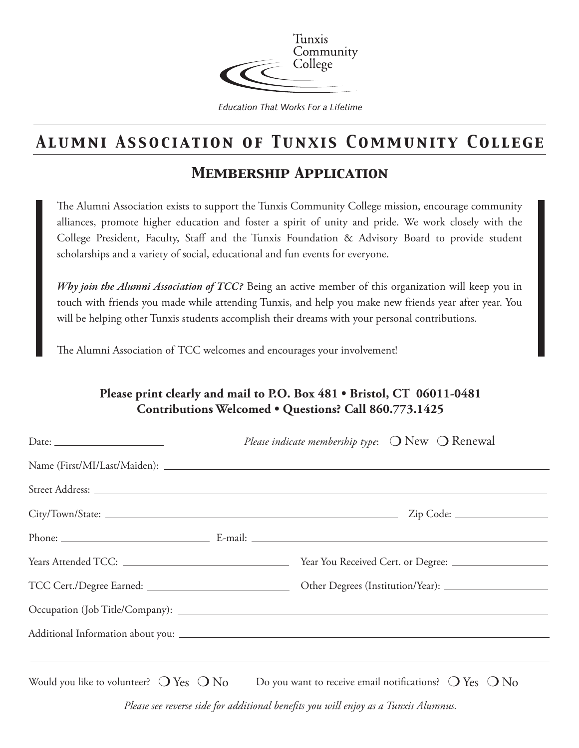

**Education That Works For a Lifetime** 

### *Alumni Association of Tunxis Community College*

### *Membership Application*

The Alumni Association exists to support the Tunxis Community College mission, encourage community alliances, promote higher education and foster a spirit of unity and pride. We work closely with the College President, Faculty, Staff and the Tunxis Foundation & Advisory Board to provide student scholarships and a variety of social, educational and fun events for everyone.

*Why join the Alumni Association of TCC?* Being an active member of this organization will keep you in touch with friends you made while attending Tunxis, and help you make new friends year after year. You will be helping other Tunxis students accomplish their dreams with your personal contributions.

The Alumni Association of TCC welcomes and encourages your involvement!

### **Please print clearly and mail to P.O. Box 481 • Bristol, CT 06011-0481 Contributions Welcomed • Questions? Call 860.773.1425**

| Date: $\frac{1}{\sqrt{1-\frac{1}{2}}\sqrt{1-\frac{1}{2}}\sqrt{1-\frac{1}{2}}\sqrt{1-\frac{1}{2}}\sqrt{1-\frac{1}{2}}}}$ | Please indicate membership type: $\bigcirc$ New $\bigcirc$ Renewal                                     |
|-------------------------------------------------------------------------------------------------------------------------|--------------------------------------------------------------------------------------------------------|
|                                                                                                                         |                                                                                                        |
|                                                                                                                         |                                                                                                        |
|                                                                                                                         |                                                                                                        |
|                                                                                                                         |                                                                                                        |
|                                                                                                                         |                                                                                                        |
|                                                                                                                         |                                                                                                        |
|                                                                                                                         |                                                                                                        |
|                                                                                                                         |                                                                                                        |
|                                                                                                                         |                                                                                                        |
|                                                                                                                         | Would you like to volunteer? $O$ Yes $O$ No Do you want to receive email notifications? $O$ Yes $O$ No |
| Please see reverse side for additional benefits you will enjoy as a Tunxis Alumnus.                                     |                                                                                                        |